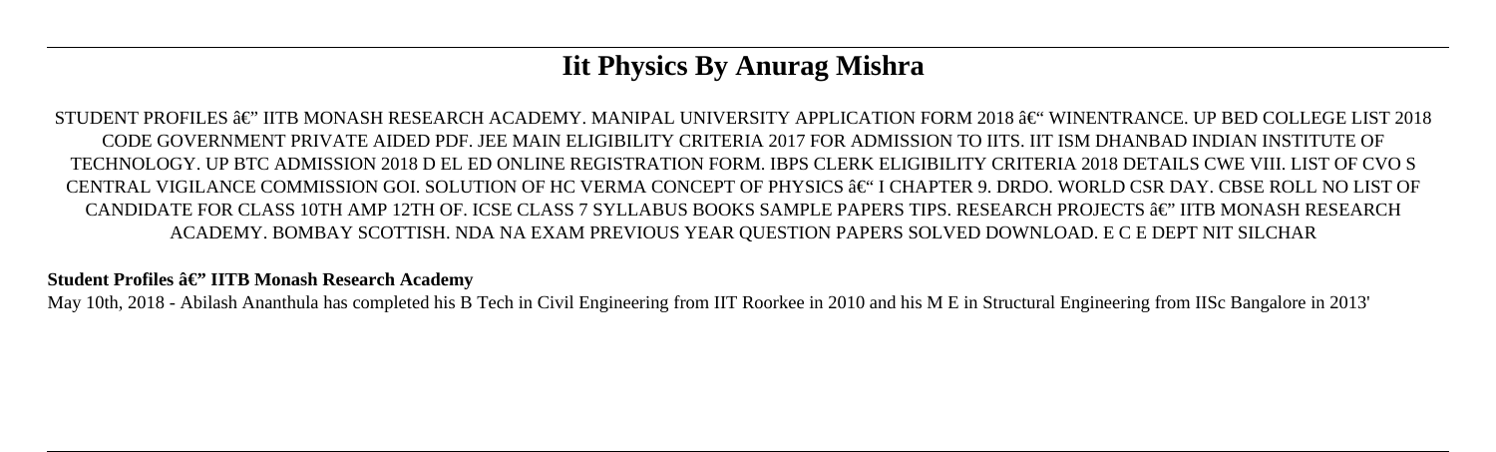# **Iit Physics By Anurag Mishra**

STUDENT PROFILES  $\hat{\bm{s}}\bm{\epsilon}$ " iitb monash research academy. Manipal university application form 2018  $\hat{\bm{s}}\bm{\epsilon}$ " winentrance. Up bed college list 2018 CODE GOVERNMENT PRIVATE AIDED PDF. JEE MAIN ELIGIBILITY CRITERIA 2017 FOR ADMISSION TO IITS. IIT ISM DHANBAD INDIAN INSTITUTE OF TECHNOLOGY. UP BTC ADMISSION 2018 D EL ED ONLINE REGISTRATION FORM. IBPS CLERK ELIGIBILITY CRITERIA 2018 DETAILS CWE VIII. LIST OF CVO S CENTRAL VIGILANCE COMMISSION GOL SOLUTION OF HC VERMA CONCEPT OF PHYSICS  $\hat{\bm{s}} \in \hat{\bm{\cdot}}$  I CHAPTER 9. DRDO. WORLD CSR DAY. CBSE ROLL NO LIST OF CANDIDATE FOR CLASS 10TH AMP 12TH OF. ICSE CLASS 7 SYLLABUS BOOKS SAMPLE PAPERS TIPS. RESEARCH PROJECTS  $\hat{\pi} \in \mathbb{C}^n$  iitb monash research ACADEMY. BOMBAY SCOTTISH. NDA NA EXAM PREVIOUS YEAR QUESTION PAPERS SOLVED DOWNLOAD. E C E DEPT NIT SILCHAR

### Student Profiles â€" IITB Monash Research Academy

May 10th, 2018 - Abilash Ananthula has completed his B Tech in Civil Engineering from IIT Roorkee in 2010 and his M E in Structural Engineering from IISc Bangalore in 2013'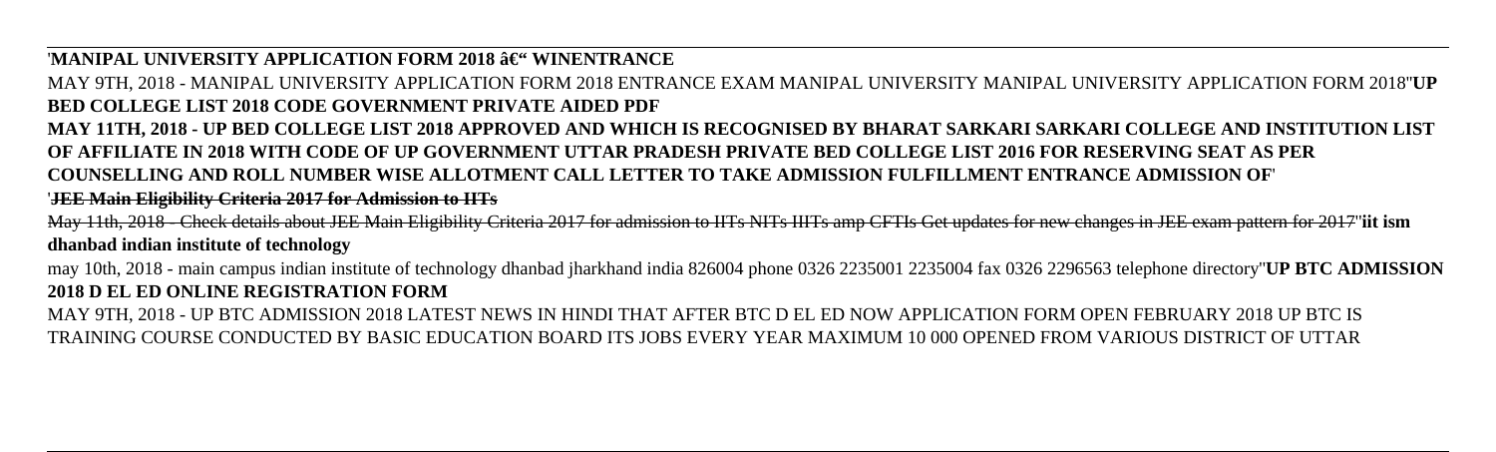### 'MANIPAL UNIVERSITY APPLICATION FORM 2018 **ag" winentrance**

MAY 9TH, 2018 - MANIPAL UNIVERSITY APPLICATION FORM 2018 ENTRANCE EXAM MANIPAL UNIVERSITY MANIPAL UNIVERSITY APPLICATION FORM 2018''**UP BED COLLEGE LIST 2018 CODE GOVERNMENT PRIVATE AIDED PDF**

**MAY 11TH, 2018 - UP BED COLLEGE LIST 2018 APPROVED AND WHICH IS RECOGNISED BY BHARAT SARKARI SARKARI COLLEGE AND INSTITUTION LIST OF AFFILIATE IN 2018 WITH CODE OF UP GOVERNMENT UTTAR PRADESH PRIVATE BED COLLEGE LIST 2016 FOR RESERVING SEAT AS PER COUNSELLING AND ROLL NUMBER WISE ALLOTMENT CALL LETTER TO TAKE ADMISSION FULFILLMENT ENTRANCE ADMISSION OF**' '**JEE Main Eligibility Criteria 2017 for Admission to IITs**

May 11th, 2018 - Check details about JEE Main Eligibility Criteria 2017 for admission to IITs NITs IIITs amp CFTIs Get updates for new changes in JEE exam pattern for 2017''**iit ism dhanbad indian institute of technology**

may 10th, 2018 - main campus indian institute of technology dhanbad jharkhand india 826004 phone 0326 2235001 2235004 fax 0326 2296563 telephone directory''**UP BTC ADMISSION 2018 D EL ED ONLINE REGISTRATION FORM**

MAY 9TH, 2018 - UP BTC ADMISSION 2018 LATEST NEWS IN HINDI THAT AFTER BTC D EL ED NOW APPLICATION FORM OPEN FEBRUARY 2018 UP BTC IS TRAINING COURSE CONDUCTED BY BASIC EDUCATION BOARD ITS JOBS EVERY YEAR MAXIMUM 10 000 OPENED FROM VARIOUS DISTRICT OF UTTAR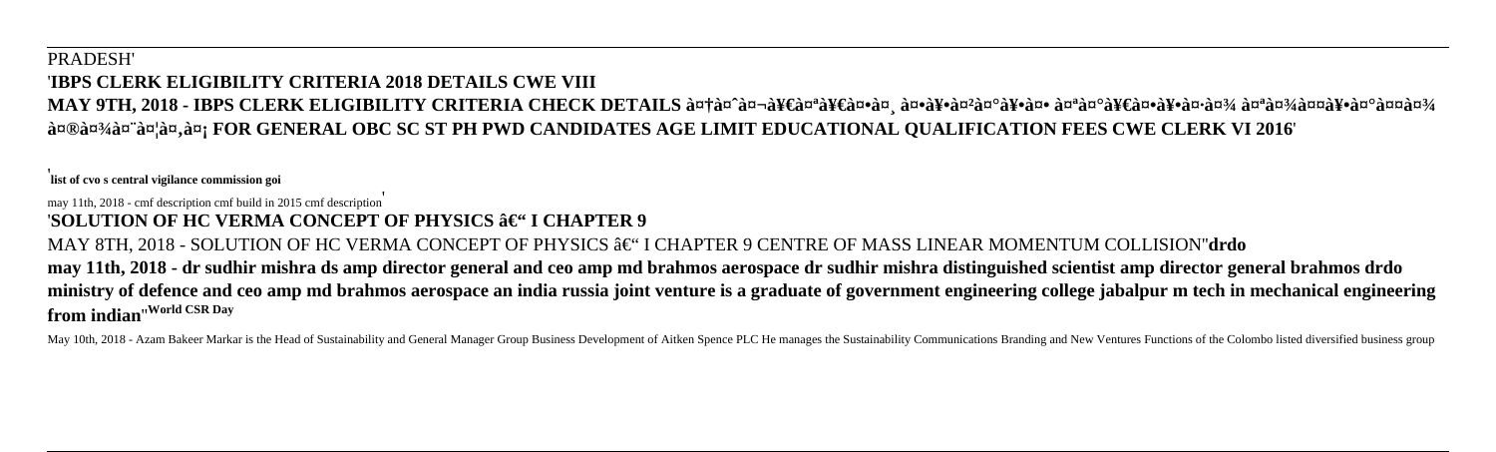## PRADESH' '**IBPS CLERK ELIGIBILITY CRITERIA 2018 DETAILS CWE VIII** MAY 9TH, 2018 - IBPS CLERK ELIGIBILITY CRITERIA CHECK DETAILS आà¤^बीपीà¤∗à¤-ऺॕरॕर८रीरीरपातॕातॕरता **मानदंड FOR GENERAL OBC SC ST PH PWD CANDIDATES AGE LIMIT EDUCATIONAL QUALIFICATION FEES CWE CLERK VI 2016**'

' **list of cvo s central vigilance commission goi**

may 11th, 2018 - cmf description cmf build in 2015 cmf description' **'SOLUTION OF HC VERMA CONCEPT OF PHYSICS â€" I CHAPTER 9** MAY 8TH, 2018 - SOLUTION OF HC VERMA CONCEPT OF PHYSICS – I CHAPTER 9 CENTRE OF MASS LINEAR MOMENTUM COLLISION'**drdo may 11th, 2018 - dr sudhir mishra ds amp director general and ceo amp md brahmos aerospace dr sudhir mishra distinguished scientist amp director general brahmos drdo ministry of defence and ceo amp md brahmos aerospace an india russia joint venture is a graduate of government engineering college jabalpur m tech in mechanical engineering from indian**''**World CSR Day**

May 10th, 2018 - Azam Bakeer Markar is the Head of Sustainability and General Manager Group Business Development of Aitken Spence PLC He manages the Sustainability Communications Branding and New Ventures Functions of the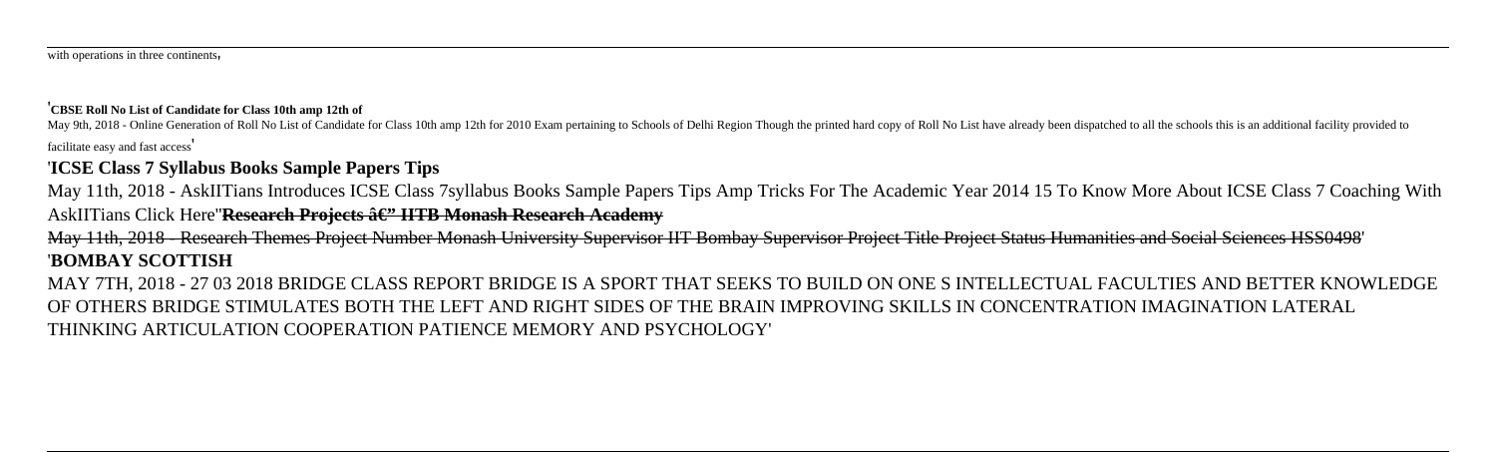#### '**CBSE Roll No List of Candidate for Class 10th amp 12th of**

May 9th, 2018 - Online Generation of Roll No List of Candidate for Class 10th amp 12th for 2010 Exam pertaining to Schools of Delhi Region Though the printed hard copy of Roll No List have already been dispatched to all th facilitate easy and fast access'

### '**ICSE Class 7 Syllabus Books Sample Papers Tips**

May 11th, 2018 - AskIITians Introduces ICSE Class 7syllabus Books Sample Papers Tips Amp Tricks For The Academic Year 2014 15 To Know More About ICSE Class 7 Coaching With AskIITians Click Here''Research Projects a<sup>

a</sup> **HTB Monash Research Academy** 

May 11th, 2018 - Research Themes Project Number Monash University Supervisor IIT Bombay Supervisor Project Title Project Status Humanities and Social Sciences HSS0498'

### '**BOMBAY SCOTTISH**

MAY 7TH, 2018 - 27 03 2018 BRIDGE CLASS REPORT BRIDGE IS A SPORT THAT SEEKS TO BUILD ON ONE S INTELLECTUAL FACULTIES AND BETTER KNOWLEDGE OF OTHERS BRIDGE STIMULATES BOTH THE LEFT AND RIGHT SIDES OF THE BRAIN IMPROVING SKILLS IN CONCENTRATION IMAGINATION LATERAL THINKING ARTICULATION COOPERATION PATIENCE MEMORY AND PSYCHOLOGY'